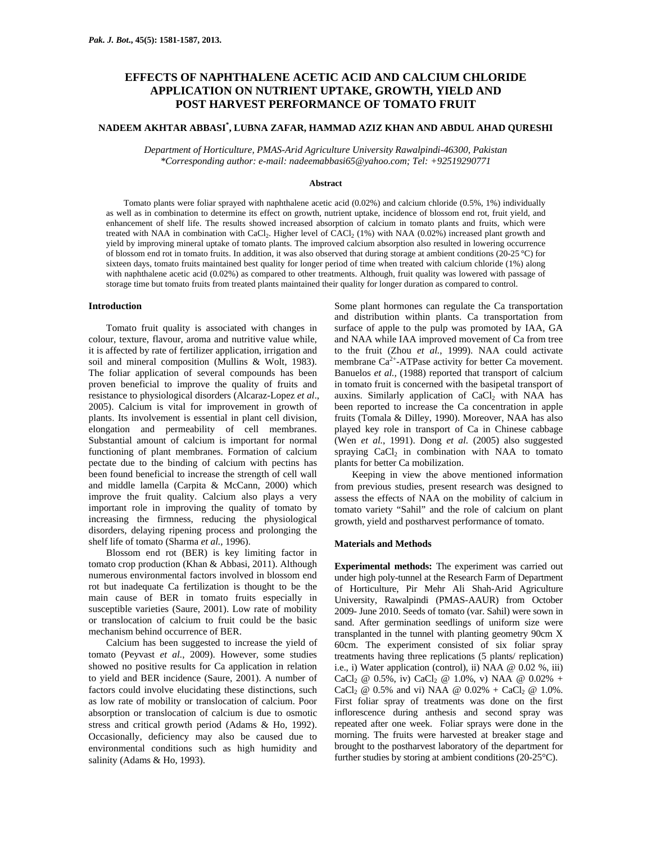# **EFFECTS OF NAPHTHALENE ACETIC ACID AND CALCIUM CHLORIDE APPLICATION ON NUTRIENT UPTAKE, GROWTH, YIELD AND POST HARVEST PERFORMANCE OF TOMATO FRUIT**

# **NADEEM AKHTAR ABBASI\* , LUBNA ZAFAR, HAMMAD AZIZ KHAN AND ABDUL AHAD QURESHI**

*Department of Horticulture, PMAS-Arid Agriculture University Rawalpindi-46300, Pakistan \*Corresponding author: e-mail: nadeemabbasi65@yahoo.com; Tel: +92519290771* 

### **Abstract**

Tomato plants were foliar sprayed with naphthalene acetic acid (0.02%) and calcium chloride (0.5%, 1%) individually as well as in combination to determine its effect on growth, nutrient uptake, incidence of blossom end rot, fruit yield, and enhancement of shelf life. The results showed increased absorption of calcium in tomato plants and fruits, which were treated with NAA in combination with CaCl<sub>2</sub>. Higher level of CACl<sub>2</sub> (1%) with NAA (0.02%) increased plant growth and yield by improving mineral uptake of tomato plants. The improved calcium absorption also resulted in lowering occurrence of blossom end rot in tomato fruits. In addition, it was also observed that during storage at ambient conditions (20-25 °C) for sixteen days, tomato fruits maintained best quality for longer period of time when treated with calcium chloride (1%) along with naphthalene acetic acid (0.02%) as compared to other treatments. Although, fruit quality was lowered with passage of storage time but tomato fruits from treated plants maintained their quality for longer duration as compared to control.

#### **Introduction**

Tomato fruit quality is associated with changes in colour, texture, flavour, aroma and nutritive value while, it is affected by rate of fertilizer application, irrigation and soil and mineral composition (Mullins & Wolt, 1983). The foliar application of several compounds has been proven beneficial to improve the quality of fruits and resistance to physiological disorders (Alcaraz-Lopez *et al*., 2005). Calcium is vital for improvement in growth of plants. Its involvement is essential in plant cell division, elongation and permeability of cell membranes. Substantial amount of calcium is important for normal functioning of plant membranes. Formation of calcium pectate due to the binding of calcium with pectins has been found beneficial to increase the strength of cell wall and middle lamella (Carpita & McCann, 2000) which improve the fruit quality. Calcium also plays a very important role in improving the quality of tomato by increasing the firmness, reducing the physiological disorders, delaying ripening process and prolonging the shelf life of tomato (Sharma *et al.*, 1996).

Blossom end rot (BER) is key limiting factor in tomato crop production (Khan & Abbasi, 2011). Although numerous environmental factors involved in blossom end rot but inadequate Ca fertilization is thought to be the main cause of BER in tomato fruits especially in susceptible varieties (Saure, 2001). Low rate of mobility or translocation of calcium to fruit could be the basic mechanism behind occurrence of BER.

Calcium has been suggested to increase the yield of tomato (Peyvast *et al.*, 2009). However, some studies showed no positive results for Ca application in relation to yield and BER incidence (Saure, 2001). A number of factors could involve elucidating these distinctions, such as low rate of mobility or translocation of calcium. Poor absorption or translocation of calcium is due to osmotic stress and critical growth period (Adams & Ho, 1992). Occasionally, deficiency may also be caused due to environmental conditions such as high humidity and salinity (Adams & Ho, 1993).

Some plant hormones can regulate the Ca transportation and distribution within plants. Ca transportation from surface of apple to the pulp was promoted by IAA, GA and NAA while IAA improved movement of Ca from tree to the fruit (Zhou *et al.*, 1999). NAA could activate membrane  $Ca^{2+}$ -ATPase activity for better Ca movement. Banuelos *et al.,* (1988) reported that transport of calcium in tomato fruit is concerned with the basipetal transport of auxins. Similarly application of  $CaCl<sub>2</sub>$  with NAA has been reported to increase the Ca concentration in apple fruits (Tomala & Dilley, 1990). Moreover, NAA has also played key role in transport of Ca in Chinese cabbage (Wen *et al.*, 1991). Dong *et al.* (2005) also suggested spraying  $CaCl<sub>2</sub>$  in combination with NAA to tomato plants for better Ca mobilization.

Keeping in view the above mentioned information from previous studies, present research was designed to assess the effects of NAA on the mobility of calcium in tomato variety "Sahil" and the role of calcium on plant growth, yield and postharvest performance of tomato.

#### **Materials and Methods**

**Experimental methods:** The experiment was carried out under high poly-tunnel at the Research Farm of Department of Horticulture, Pir Mehr Ali Shah-Arid Agriculture University, Rawalpindi (PMAS-AAUR) from October 2009- June 2010. Seeds of tomato (var. Sahil) were sown in sand. After germination seedlings of uniform size were transplanted in the tunnel with planting geometry 90cm X 60cm. The experiment consisted of six foliar spray treatments having three replications (5 plants/ replication) i.e., i) Water application (control), ii) NAA @ 0.02 %, iii) CaCl<sub>2</sub> @ 0.5%, iv) CaCl<sub>2</sub> @ 1.0%, v) NAA @ 0.02% +  $CaCl_2 \ @$  0.5% and vi) NAA  $\ @$  0.02% + CaCl<sub>2</sub>  $\ @$  1.0%. First foliar spray of treatments was done on the first inflorescence during anthesis and second spray was repeated after one week. Foliar sprays were done in the morning. The fruits were harvested at breaker stage and brought to the postharvest laboratory of the department for further studies by storing at ambient conditions (20-25°C).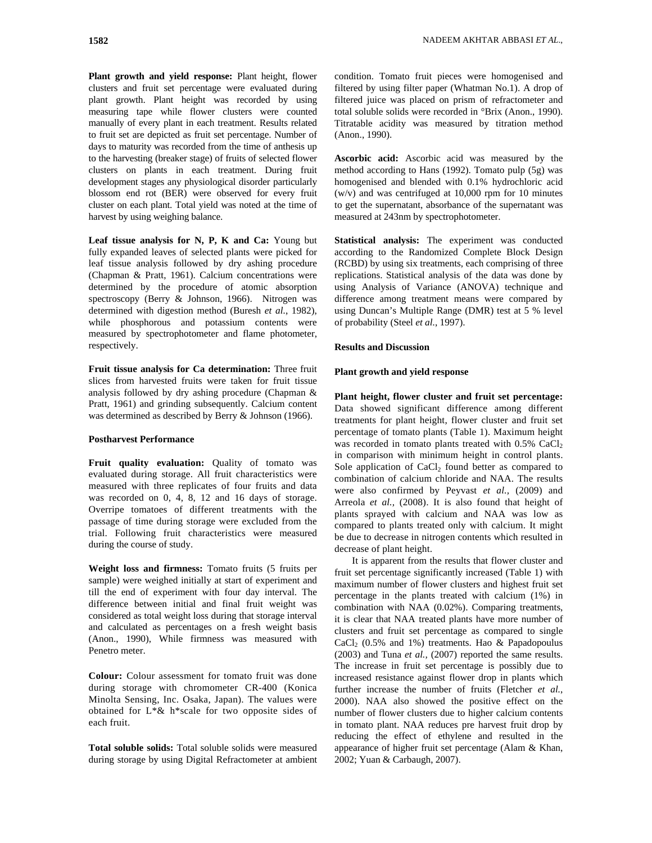**Plant growth and yield response:** Plant height, flower clusters and fruit set percentage were evaluated during plant growth. Plant height was recorded by using measuring tape while flower clusters were counted manually of every plant in each treatment. Results related to fruit set are depicted as fruit set percentage. Number of days to maturity was recorded from the time of anthesis up to the harvesting (breaker stage) of fruits of selected flower clusters on plants in each treatment. During fruit development stages any physiological disorder particularly blossom end rot (BER) were observed for every fruit cluster on each plant. Total yield was noted at the time of harvest by using weighing balance.

**Leaf tissue analysis for N, P, K and Ca:** Young but fully expanded leaves of selected plants were picked for leaf tissue analysis followed by dry ashing procedure (Chapman & Pratt, 1961). Calcium concentrations were determined by the procedure of atomic absorption spectroscopy (Berry & Johnson, 1966). Nitrogen was determined with digestion method (Buresh *et al.*, 1982), while phosphorous and potassium contents were measured by spectrophotometer and flame photometer, respectively.

**Fruit tissue analysis for Ca determination:** Three fruit slices from harvested fruits were taken for fruit tissue analysis followed by dry ashing procedure (Chapman & Pratt, 1961) and grinding subsequently. Calcium content was determined as described by Berry & Johnson (1966).

# **Postharvest Performance**

**Fruit quality evaluation:** Quality of tomato was evaluated during storage. All fruit characteristics were measured with three replicates of four fruits and data was recorded on 0, 4, 8, 12 and 16 days of storage. Overripe tomatoes of different treatments with the passage of time during storage were excluded from the trial. Following fruit characteristics were measured during the course of study.

**Weight loss and firmness:** Tomato fruits (5 fruits per sample) were weighed initially at start of experiment and till the end of experiment with four day interval. The difference between initial and final fruit weight was considered as total weight loss during that storage interval and calculated as percentages on a fresh weight basis (Anon., 1990), While firmness was measured with Penetro meter.

**Colour:** Colour assessment for tomato fruit was done during storage with chromometer CR-400 (Konica Minolta Sensing, Inc. Osaka, Japan). The values were obtained for L\*& h\*scale for two opposite sides of each fruit.

**Total soluble solids:** Total soluble solids were measured during storage by using Digital Refractometer at ambient condition. Tomato fruit pieces were homogenised and filtered by using filter paper (Whatman No.1). A drop of filtered juice was placed on prism of refractometer and total soluble solids were recorded in °Brix (Anon., 1990). Titratable acidity was measured by titration method (Anon., 1990).

**Ascorbic acid:** Ascorbic acid was measured by the method according to Hans (1992). Tomato pulp (5g) was homogenised and blended with 0.1% hydrochloric acid (w/v) and was centrifuged at 10,000 rpm for 10 minutes to get the supernatant, absorbance of the supernatant was measured at 243nm by spectrophotometer.

**Statistical analysis:** The experiment was conducted according to the Randomized Complete Block Design (RCBD) by using six treatments, each comprising of three replications. Statistical analysis of the data was done by using Analysis of Variance (ANOVA) technique and difference among treatment means were compared by using Duncan's Multiple Range (DMR) test at 5 % level of probability (Steel *et al.*, 1997).

# **Results and Discussion**

## **Plant growth and yield response**

**Plant height, flower cluster and fruit set percentage:**  Data showed significant difference among different treatments for plant height, flower cluster and fruit set percentage of tomato plants (Table 1). Maximum height was recorded in tomato plants treated with  $0.5\%$  CaCl<sub>2</sub> in comparison with minimum height in control plants. Sole application of  $CaCl<sub>2</sub>$  found better as compared to combination of calcium chloride and NAA. The results were also confirmed by Peyvast *et al.,* (2009) and Arreola *et al.,* (2008). It is also found that height of plants sprayed with calcium and NAA was low as compared to plants treated only with calcium. It might be due to decrease in nitrogen contents which resulted in decrease of plant height.

It is apparent from the results that flower cluster and fruit set percentage significantly increased (Table 1) with maximum number of flower clusters and highest fruit set percentage in the plants treated with calcium (1%) in combination with NAA (0.02%). Comparing treatments, it is clear that NAA treated plants have more number of clusters and fruit set percentage as compared to single  $CaCl<sub>2</sub>$  (0.5% and 1%) treatments. Hao & Papadopoulus (2003) and Tuna *et al.,* (2007) reported the same results. The increase in fruit set percentage is possibly due to increased resistance against flower drop in plants which further increase the number of fruits (Fletcher *et al.*, 2000). NAA also showed the positive effect on the number of flower clusters due to higher calcium contents in tomato plant. NAA reduces pre harvest fruit drop by reducing the effect of ethylene and resulted in the appearance of higher fruit set percentage (Alam & Khan, 2002; Yuan & Carbaugh, 2007).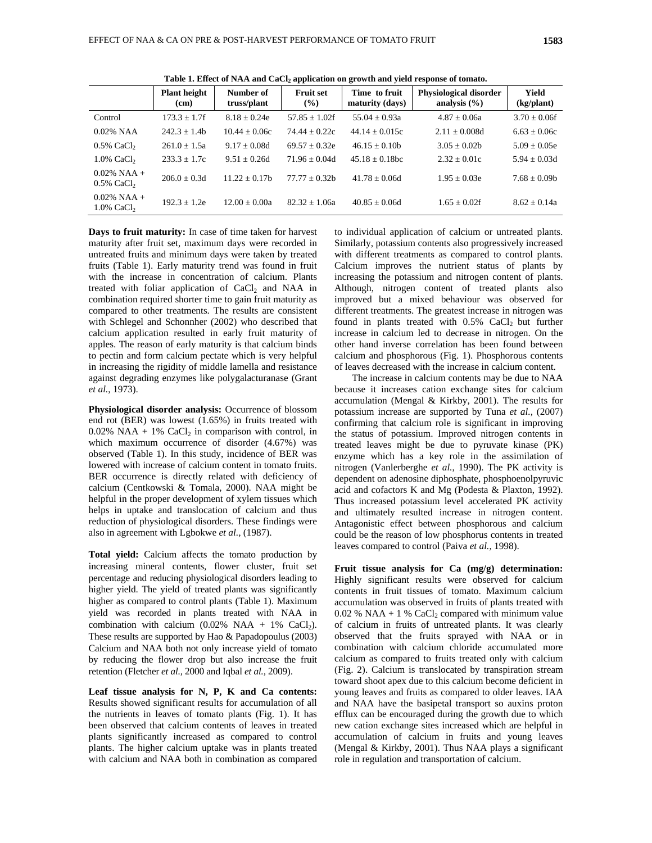|                                             | <b>Plant height</b><br>(cm) | Number of<br>truss/plant | <b>Fruit set</b><br>$(\%)$ | Time to fruit<br>maturity (days) | <b>Physiological disorder</b><br>analysis $(\% )$ | Yield<br>(kg/plant) |
|---------------------------------------------|-----------------------------|--------------------------|----------------------------|----------------------------------|---------------------------------------------------|---------------------|
| Control                                     | $173.3 \pm 1.7$ f           | $8.18 + 0.24e$           | $57.85 + 1.02f$            | $55.04 + 0.93a$                  | $4.87 + 0.06a$                                    | $3.70 \pm 0.06f$    |
| $0.02\%$ NAA                                | $242.3 + 1.4h$              | $10.44 \pm 0.06c$        | $74.44 + 0.22c$            | $44.14 \pm 0.015c$               | $2.11 \pm 0.008d$                                 | $6.63 + 0.06c$      |
| $0.5\%$ CaCl <sub>2</sub>                   | $261.0 \pm 1.5a$            | $9.17 + 0.08d$           | $69.57 + 0.32e$            | $46.15 + 0.10h$                  | $3.05 \pm 0.02b$                                  | $5.09 \pm 0.05e$    |
| $1.0\%$ CaCl <sub>2</sub>                   | $233.3 + 1.7c$              | $9.51 + 0.26d$           | $71.96 + 0.04d$            | $45.18 \pm 0.18$ bc              | $2.32 \pm 0.01c$                                  | $5.94 \pm 0.03d$    |
| $0.02\%$ NAA +<br>$0.5\%$ CaCl <sub>2</sub> | $206.0 + 0.3d$              | $11.22 + 0.17h$          | $77.77 + 0.32h$            | $41.78 \pm 0.06d$                | $1.95 + 0.03e$                                    | $7.68 + 0.09h$      |
| $0.02\%$ NAA +<br>$1.0\%$ CaCl <sub>2</sub> | $192.3 + 1.2e$              | $12.00 + 0.00a$          | $82.32 + 1.06a$            | $40.85 + 0.06d$                  | $1.65 + 0.02f$                                    | $8.62 + 0.14a$      |
|                                             |                             |                          |                            |                                  |                                                   |                     |

Table 1. Effect of NAA and CaCl<sub>2</sub> application on growth and yield response of tomato.

**Days to fruit maturity:** In case of time taken for harvest maturity after fruit set, maximum days were recorded in untreated fruits and minimum days were taken by treated fruits (Table 1). Early maturity trend was found in fruit with the increase in concentration of calcium. Plants treated with foliar application of  $CaCl<sub>2</sub>$  and NAA in combination required shorter time to gain fruit maturity as compared to other treatments. The results are consistent with Schlegel and Schonnher (2002) who described that calcium application resulted in early fruit maturity of apples. The reason of early maturity is that calcium binds to pectin and form calcium pectate which is very helpful in increasing the rigidity of middle lamella and resistance against degrading enzymes like polygalacturanase (Grant *et al.*, 1973).

**Physiological disorder analysis:** Occurrence of blossom end rot (BER) was lowest (1.65%) in fruits treated with  $0.02\%$  NAA + 1% CaCl<sub>2</sub> in comparison with control, in which maximum occurrence of disorder (4.67%) was observed (Table 1). In this study, incidence of BER was lowered with increase of calcium content in tomato fruits. BER occurrence is directly related with deficiency of calcium (Centkowski & Tomala, 2000). NAA might be helpful in the proper development of xylem tissues which helps in uptake and translocation of calcium and thus reduction of physiological disorders. These findings were also in agreement with Lgbokwe *et al.,* (1987).

**Total yield:** Calcium affects the tomato production by increasing mineral contents, flower cluster, fruit set percentage and reducing physiological disorders leading to higher yield. The yield of treated plants was significantly higher as compared to control plants (Table 1). Maximum yield was recorded in plants treated with NAA in combination with calcium  $(0.02\% \text{ NAA} + 1\% \text{ CaCl}_2)$ . These results are supported by Hao & Papadopoulus (2003) Calcium and NAA both not only increase yield of tomato by reducing the flower drop but also increase the fruit retention (Fletcher *et al.,* 2000 and Iqbal *et al.,* 2009).

**Leaf tissue analysis for N, P, K and Ca contents:**  Results showed significant results for accumulation of all the nutrients in leaves of tomato plants (Fig. 1). It has been observed that calcium contents of leaves in treated plants significantly increased as compared to control plants. The higher calcium uptake was in plants treated with calcium and NAA both in combination as compared to individual application of calcium or untreated plants. Similarly, potassium contents also progressively increased with different treatments as compared to control plants. Calcium improves the nutrient status of plants by increasing the potassium and nitrogen content of plants. Although, nitrogen content of treated plants also improved but a mixed behaviour was observed for different treatments. The greatest increase in nitrogen was found in plants treated with  $0.5\%$  CaCl<sub>2</sub> but further increase in calcium led to decrease in nitrogen. On the other hand inverse correlation has been found between calcium and phosphorous (Fig. 1). Phosphorous contents of leaves decreased with the increase in calcium content.

The increase in calcium contents may be due to NAA because it increases cation exchange sites for calcium accumulation (Mengal & Kirkby, 2001). The results for potassium increase are supported by Tuna *et al.,* (2007) confirming that calcium role is significant in improving the status of potassium. Improved nitrogen contents in treated leaves might be due to pyruvate kinase (PK) enzyme which has a key role in the assimilation of nitrogen (Vanlerberghe *et al.*, 1990). The PK activity is dependent on adenosine diphosphate, phosphoenolpyruvic acid and cofactors K and Mg (Podesta & Plaxton, 1992). Thus increased potassium level accelerated PK activity and ultimately resulted increase in nitrogen content. Antagonistic effect between phosphorous and calcium could be the reason of low phosphorus contents in treated leaves compared to control (Paiva *et al.*, 1998).

**Fruit tissue analysis for Ca (mg/g) determination:**  Highly significant results were observed for calcium contents in fruit tissues of tomato. Maximum calcium accumulation was observed in fruits of plants treated with  $0.02$  % NAA + 1 % CaCl<sub>2</sub> compared with minimum value of calcium in fruits of untreated plants. It was clearly observed that the fruits sprayed with NAA or in combination with calcium chloride accumulated more calcium as compared to fruits treated only with calcium (Fig. 2). Calcium is translocated by transpiration stream toward shoot apex due to this calcium become deficient in young leaves and fruits as compared to older leaves. IAA and NAA have the basipetal transport so auxins proton efflux can be encouraged during the growth due to which new cation exchange sites increased which are helpful in accumulation of calcium in fruits and young leaves (Mengal & Kirkby, 2001). Thus NAA plays a significant role in regulation and transportation of calcium.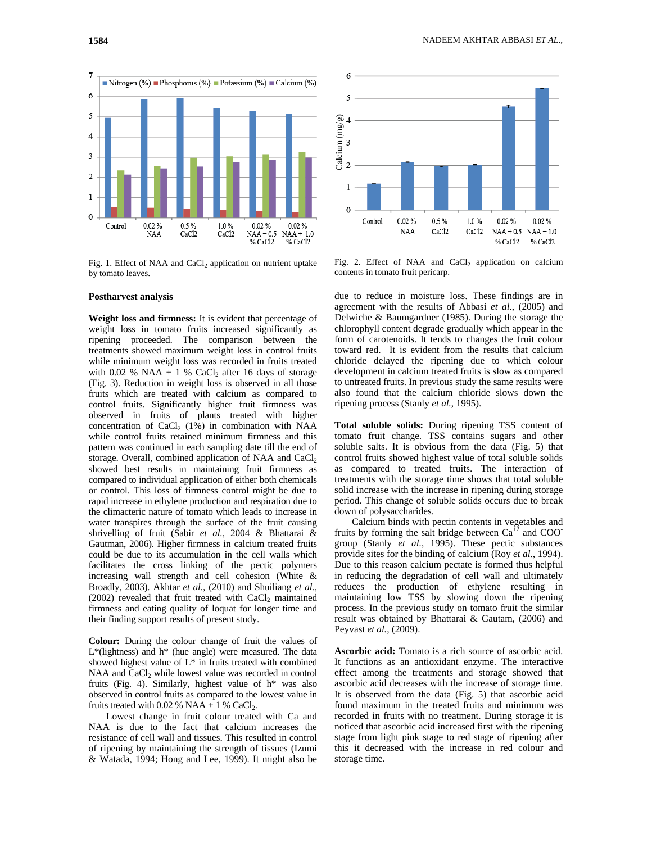

Fig. 1. Effect of NAA and CaCl<sub>2</sub> application on nutrient uptake by tomato leaves.

## **Postharvest analysis**

**Weight loss and firmness:** It is evident that percentage of weight loss in tomato fruits increased significantly as ripening proceeded. The comparison between the treatments showed maximum weight loss in control fruits while minimum weight loss was recorded in fruits treated with 0.02 % NAA + 1 % CaCl<sub>2</sub> after 16 days of storage (Fig. 3). Reduction in weight loss is observed in all those fruits which are treated with calcium as compared to control fruits. Significantly higher fruit firmness was observed in fruits of plants treated with higher concentration of  $CaCl<sub>2</sub>$  (1%) in combination with NAA while control fruits retained minimum firmness and this pattern was continued in each sampling date till the end of storage. Overall, combined application of NAA and CaCl<sub>2</sub> showed best results in maintaining fruit firmness as compared to individual application of either both chemicals or control. This loss of firmness control might be due to rapid increase in ethylene production and respiration due to the climacteric nature of tomato which leads to increase in water transpires through the surface of the fruit causing shrivelling of fruit (Sabir *et al.,* 2004 & Bhattarai & Gautman, 2006). Higher firmness in calcium treated fruits could be due to its accumulation in the cell walls which facilitates the cross linking of the pectic polymers increasing wall strength and cell cohesion (White & Broadly, 2003). Akhtar *et al.,* (2010) and Shuiliang *et al.,* (2002) revealed that fruit treated with  $CaCl<sub>2</sub>$  maintained firmness and eating quality of loquat for longer time and their finding support results of present study.

**Colour:** During the colour change of fruit the values of L\*(lightness) and h\* (hue angle) were measured. The data showed highest value of L\* in fruits treated with combined NAA and CaCl<sub>2</sub> while lowest value was recorded in control fruits (Fig. 4). Similarly, highest value of h\* was also observed in control fruits as compared to the lowest value in fruits treated with 0.02 % NAA  $+$  1 % CaCl<sub>2</sub>.

Lowest change in fruit colour treated with Ca and NAA is due to the fact that calcium increases the resistance of cell wall and tissues. This resulted in control of ripening by maintaining the strength of tissues (Izumi & Watada, 1994; Hong and Lee, 1999). It might also be



Fig. 2. Effect of NAA and CaCl<sub>2</sub> application on calcium contents in tomato fruit pericarp.

due to reduce in moisture loss. These findings are in agreement with the results of Abbasi *et al*., (2005) and Delwiche & Baumgardner (1985). During the storage the chlorophyll content degrade gradually which appear in the form of carotenoids. It tends to changes the fruit colour toward red. It is evident from the results that calcium chloride delayed the ripening due to which colour development in calcium treated fruits is slow as compared to untreated fruits. In previous study the same results were also found that the calcium chloride slows down the ripening process (Stanly *et al.*, 1995).

**Total soluble solids:** During ripening TSS content of tomato fruit change. TSS contains sugars and other soluble salts. It is obvious from the data (Fig. 5) that control fruits showed highest value of total soluble solids as compared to treated fruits. The interaction of treatments with the storage time shows that total soluble solid increase with the increase in ripening during storage period. This change of soluble solids occurs due to break down of polysaccharides.

Calcium binds with pectin contents in vegetables and fruits by forming the salt bridge between  $Ca<sup>2</sup>$  and COO group (Stanly *et al.*, 1995). These pectic substances provide sites for the binding of calcium (Roy *et al.*, 1994). Due to this reason calcium pectate is formed thus helpful in reducing the degradation of cell wall and ultimately reduces the production of ethylene resulting in maintaining low TSS by slowing down the ripening process. In the previous study on tomato fruit the similar result was obtained by Bhattarai & Gautam, (2006) and Peyvast *et al.,* (2009).

**Ascorbic acid:** Tomato is a rich source of ascorbic acid. It functions as an antioxidant enzyme. The interactive effect among the treatments and storage showed that ascorbic acid decreases with the increase of storage time. It is observed from the data (Fig. 5) that ascorbic acid found maximum in the treated fruits and minimum was recorded in fruits with no treatment. During storage it is noticed that ascorbic acid increased first with the ripening stage from light pink stage to red stage of ripening after this it decreased with the increase in red colour and storage time.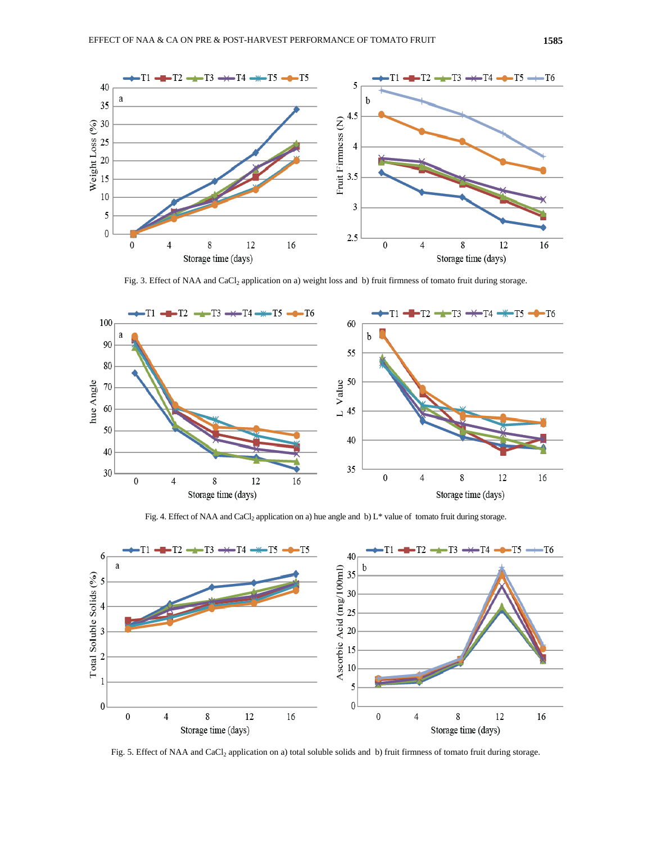

Fig. 3. Effect of NAA and CaCl<sub>2</sub> application on a) weight loss and b) fruit firmness of tomato fruit during storage.



Fig. 4. Effect of NAA and CaCl<sub>2</sub> application on a) hue angle and b) L\* value of tomato fruit during storage.



Fig. 5. Effect of NAA and CaCl<sub>2</sub> application on a) total soluble solids and b) fruit firmness of tomato fruit during storage.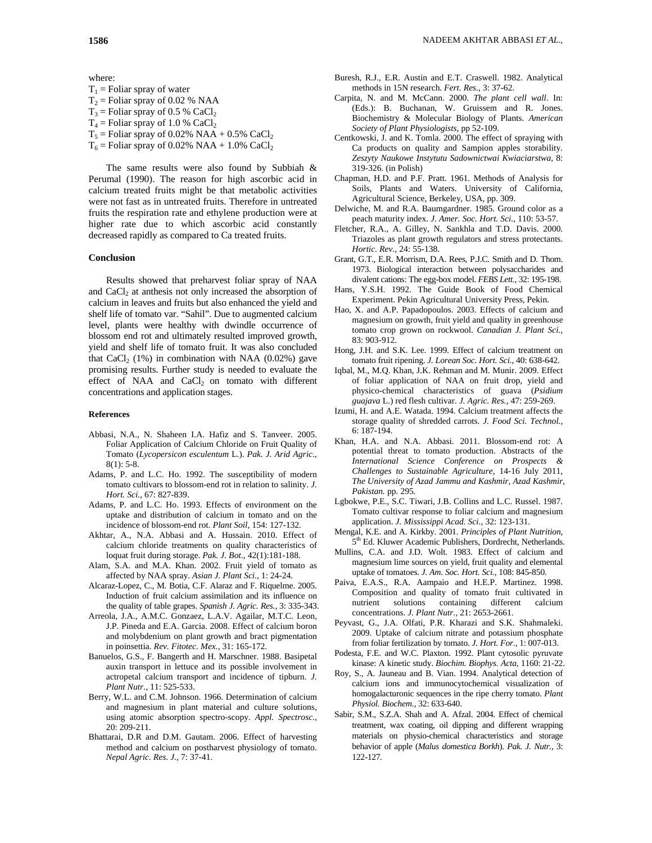where:  $T_1$  = Foliar spray of water  $T_2$  = Foliar spray of 0.02 % NAA  $T_3$  = Foliar spray of 0.5 % CaCl<sub>2</sub>  $T_4$  = Foliar spray of 1.0 % CaCl<sub>2</sub>  $T_5$  = Foliar spray of 0.02% NAA + 0.5% CaCl<sub>2</sub>  $T_6$  = Foliar spray of 0.02% NAA + 1.0% CaCl<sub>2</sub>

The same results were also found by Subbiah & Perumal (1990). The reason for high ascorbic acid in calcium treated fruits might be that metabolic activities were not fast as in untreated fruits. Therefore in untreated fruits the respiration rate and ethylene production were at higher rate due to which ascorbic acid constantly decreased rapidly as compared to Ca treated fruits.

### **Conclusion**

Results showed that preharvest foliar spray of NAA and  $CaCl<sub>2</sub>$  at anthesis not only increased the absorption of calcium in leaves and fruits but also enhanced the yield and shelf life of tomato var. "Sahil". Due to augmented calcium level, plants were healthy with dwindle occurrence of blossom end rot and ultimately resulted improved growth, yield and shelf life of tomato fruit. It was also concluded that CaCl<sub>2</sub>  $(1\%)$  in combination with NAA  $(0.02\%)$  gave promising results. Further study is needed to evaluate the effect of NAA and  $CaCl<sub>2</sub>$  on tomato with different concentrations and application stages.

#### **References**

- Abbasi, N.A., N. Shaheen I.A. Hafiz and S. Tanveer. 2005. Foliar Application of Calcium Chloride on Fruit Quality of Tomato (*Lycopersicon esculentum* L.). *Pak. J. Arid Agric*., 8(1): 5-8.
- Adams, P. and L.C. Ho. 1992. The susceptibility of modern tomato cultivars to blossom-end rot in relation to salinity. *J. Hort. Sci.*, 67: 827-839.
- Adams, P. and L.C. Ho. 1993. Effects of environment on the uptake and distribution of calcium in tomato and on the incidence of blossom-end rot. *Plant Soil,* 154: 127-132.
- Akhtar, A., N.A. Abbasi and A. Hussain. 2010. Effect of calcium chloride treatments on quality characteristics of loquat fruit during storage. *Pak. J. Bot*., 42(1):181-188.
- Alam, S.A. and M.A. Khan. 2002. Fruit yield of tomato as affected by NAA spray. *Asian J. Plant Sci.*, 1: 24-24.
- Alcaraz-Lopez, C., M. Botia, C.F. Alaraz and F. Riquelme. 2005. Induction of fruit calcium assimilation and its influence on the quality of table grapes. *Spanish J. Agric. Res.,* 3: 335-343.
- Arreola, J.A., A.M.C. Gonzaez, L.A.V. Agailar, M.T.C. Leon, J.P. Pineda and E.A. Garcia. 2008. Effect of calcium boron and molybdenium on plant growth and bract pigmentation in poinsettia. *Rev. Fitotec. Mex.,* 31: 165-172.
- Banuelos, G.S., F. Bangerth and H. Marschner. 1988. Basipetal auxin transport in lettuce and its possible involvement in actropetal calcium transport and incidence of tipburn. *J. Plant Nutr.,* 11: 525-533.
- Berry, W.L. and C.M. Johnson. 1966. Determination of calcium and magnesium in plant material and culture solutions, using atomic absorption spectro-scopy. *Appl. Spectrosc.,* 20: 209-211.
- Bhattarai, D.R and D.M. Gautam. 2006. Effect of harvesting method and calcium on postharvest physiology of tomato. *Nepal Agric. Res. J.*, 7: 37-41.
- Buresh, R.J., E.R. Austin and E.T. Craswell. 1982. Analytical methods in 15N research. *Fert. Res.,* 3: 37-62.
- Carpita, N. and M. McCann. 2000. *The plant cell wall*. In: (Eds.): B. Buchanan, W. Gruissem and R. Jones. Biochemistry & Molecular Biology of Plants. *American Society of Plant Physiologists*, pp 52-109.
- Centkowski, J. and K. Tomla. 2000. The effect of spraying with Ca products on quality and Sampion apples storability. *Zeszyty Naukowe Instytutu Sadownictwai Kwiaciarstwa,* 8: 319-326. (in Polish)
- Chapman, H.D. and P.F. Pratt. 1961. Methods of Analysis for Soils, Plants and Waters. University of California, Agricultural Science, Berkeley, USA, pp. 309.
- Delwiche, M. and R.A. Baumgardner. 1985. Ground color as a peach maturity index. *J. Amer. Soc. Hort. Sci.*, 110: 53-57.
- Fletcher, R.A., A. Gilley, N. Sankhla and T.D. Davis. 2000. Triazoles as plant growth regulators and stress protectants. *Hortic. Rev.,* 24: 55-138.
- Grant, G.T., E.R. Morrism, D.A. Rees, P.J.C. Smith and D. Thom. 1973. Biological interaction between polysaccharides and divalent cations: The egg-box model. *FEBS Lett.,* 32: 195-198.
- Hans, Y.S.H. 1992. The Guide Book of Food Chemical Experiment. Pekin Agricultural University Press, Pekin.
- Hao, X. and A.P. Papadopoulos. 2003. Effects of calcium and magnesium on growth, fruit yield and quality in greenhouse tomato crop grown on rockwool. *Canadian J. Plant Sci.,* 83: 903-912.
- Hong, J.H. and S.K. Lee. 1999. Effect of calcium treatment on tomato fruit ripening. *J. Lorean Soc. Hort. Sci.,* 40: 638-642.
- Iqbal, M., M.Q. Khan, J.K. Rehman and M. Munir. 2009. Effect of foliar application of NAA on fruit drop, yield and physico-chemical characteristics of guava (*Psidium guajava* L.) red flesh cultivar. *J. Agric. Res.,* 47: 259-269.
- Izumi, H. and A.E. Watada. 1994. Calcium treatment affects the storage quality of shredded carrots. *J. Food Sci. Technol.,* 6: 187-194.
- Khan, H.A. and N.A. Abbasi. 2011. Blossom-end rot: A potential threat to tomato production. Abstracts of the *International Science Conference on Prospects & Challenges to Sustainable Agriculture,* 14-16 July 2011*, The University of Azad Jammu and Kashmir, Azad Kashmir, Pakistan.* pp. 295*.*
- Lgbokwe, P.E., S.C. Tiwari, J.B. Collins and L.C. Russel. 1987. Tomato cultivar response to foliar calcium and magnesium application. *J. Mississippi Acad. Sci.,* 32: 123-131.
- Mengal, K.E. and A. Kirkby. 2001. *Principles of Plant Nutrition*, 5<sup>th</sup> Ed. Kluwer Academic Publishers, Dordrecht, Netherlands.
- Mullins, C.A. and J.D. Wolt. 1983. Effect of calcium and magnesium lime sources on yield, fruit quality and elemental uptake of tomatoes. *J. Am. Soc. Hort. Sci.,* 108: 845-850.
- Paiva, E.A.S., R.A. Aampaio and H.E.P. Martinez. 1998. Composition and quality of tomato fruit cultivated in nutrient solutions containing different calcium concentrations. *J. Plant Nutr.,* 21: 2653-2661.
- Peyvast, G., J.A. Olfati, P.R. Kharazi and S.K. Shahmaleki. 2009. Uptake of calcium nitrate and potassium phosphate from foliar fertilization by tomato. *J. Hort. For.,* 1: 007-013.
- Podesta, F.E. and W.C. Plaxton. 1992. Plant cytosolic pyruvate kinase: A kinetic study. *Biochim. Biophys. Acta,* 1160: 21-22.
- Roy, S., A. Jauneau and B. Vian. 1994. Analytical detection of calcium ions and immunocytochemical visualization of homogalacturonic sequences in the ripe cherry tomato. *Plant Physiol. Biochem.,* 32: 633-640.
- Sabir, S.M., S.Z.A. Shah and A. Afzal. 2004. Effect of chemical treatment, wax coating, oil dipping and different wrapping materials on physio-chemical characteristics and storage behavior of apple (*Malus domestica Borkh*). *Pak. J. Nutr.,* 3: 122-127.